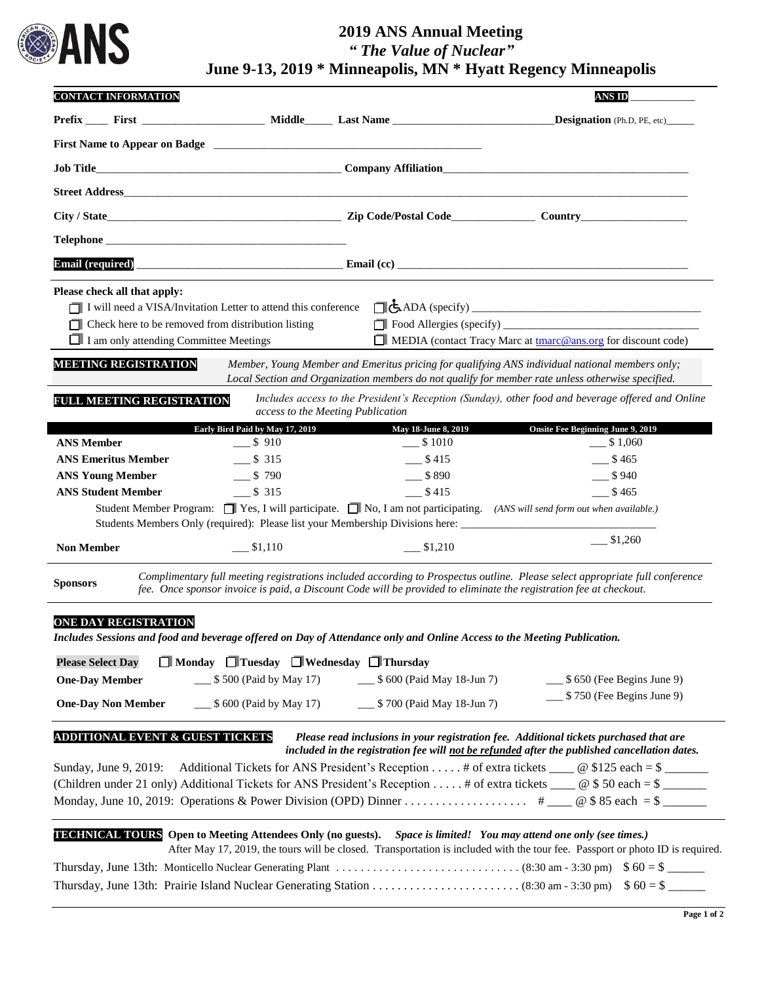

## **2019 ANS Annual Meeting** *" The Value of Nuclear"* **June 9-13, 2019 \* Minneapolis, MN \* Hyatt Regency Minneapolis**

|                                                                                                                                     |                                                                |                                                                               | <b>ANS ID</b>                                                                                                                                                                                                                        |
|-------------------------------------------------------------------------------------------------------------------------------------|----------------------------------------------------------------|-------------------------------------------------------------------------------|--------------------------------------------------------------------------------------------------------------------------------------------------------------------------------------------------------------------------------------|
|                                                                                                                                     |                                                                |                                                                               | <b>Designation</b> (Ph.D, PE, etc)                                                                                                                                                                                                   |
|                                                                                                                                     |                                                                |                                                                               |                                                                                                                                                                                                                                      |
|                                                                                                                                     |                                                                |                                                                               |                                                                                                                                                                                                                                      |
| <b>Street Address</b>                                                                                                               |                                                                |                                                                               |                                                                                                                                                                                                                                      |
|                                                                                                                                     |                                                                |                                                                               |                                                                                                                                                                                                                                      |
| Telephone                                                                                                                           |                                                                |                                                                               |                                                                                                                                                                                                                                      |
|                                                                                                                                     |                                                                |                                                                               | Email (required) <b>Email (complete to the Contract of Contract of Contract of Contract of Contract of Contract of Contract of Contract of Contract of Contract of Contract of Contract of Contract of Contract of Contract of C</b> |
| Please check all that apply:<br>Check here to be removed from distribution listing<br>$\Box$ I am only attending Committee Meetings | I will need a VISA/Invitation Letter to attend this conference |                                                                               | MEDIA (contact Tracy Marc at <b>the trace ansacrated ansacrated ansacrated MEDIA</b> (contact Tracy Marc at <b>the marc @ ansacrated meta</b>                                                                                        |
| <b>MEETING REGISTRATION</b>                                                                                                         |                                                                |                                                                               | Member, Young Member and Emeritus pricing for qualifying ANS individual national members only;<br>Local Section and Organization members do not qualify for member rate unless otherwise specified.                                  |
| FULL MEETING REGISTRATION                                                                                                           | access to the Meeting Publication                              |                                                                               | Includes access to the President's Reception (Sunday), other food and beverage offered and Online                                                                                                                                    |
|                                                                                                                                     | Early Bird Paid by May 17, 2019                                | May 18-June 8, 2019                                                           | <b>Onsite Fee Beginning June 9, 2019</b>                                                                                                                                                                                             |
| <b>ANS Member</b>                                                                                                                   | $-$ \$ 910                                                     | $\frac{\$ 1010}{}$                                                            | $\frac{\$}{\$}1,060$                                                                                                                                                                                                                 |
| <b>ANS Emeritus Member</b>                                                                                                          | $\frac{\$}{315}$                                               | $-$ \$415                                                                     | \$465                                                                                                                                                                                                                                |
| <b>ANS Young Member</b>                                                                                                             | $-$ \$ 790                                                     | $-$ \$890                                                                     | $-$ \$940                                                                                                                                                                                                                            |
| <b>ANS Student Member</b>                                                                                                           | $\frac{\$}{\$}$ 315                                            | $-$ \$415                                                                     | \$465                                                                                                                                                                                                                                |
|                                                                                                                                     |                                                                | Students Members Only (required): Please list your Membership Divisions here: | Student Member Program: $\Box$ Yes, I will participate. $\Box$ No, I am not participating. (ANS will send form out when available.)                                                                                                  |
| <b>Non Member</b>                                                                                                                   | \$1,110                                                        | \$1,210                                                                       | $-$ \$1,260                                                                                                                                                                                                                          |

## **ONE DAY REGISTRATION**

*Includes Sessions and food and beverage offered on Day of Attendance only and Online Access to the Meeting Publication.*

| <b>Please Select Day</b>  | $\Box$ Monday $\Box$ Tuesday $\Box$ Wednesday $\Box$ Thursday |                            |                                          |
|---------------------------|---------------------------------------------------------------|----------------------------|------------------------------------------|
| <b>One-Day Member</b>     | $\frac{1}{2}$ \$ 500 (Paid by May 17)                         | \$ 600 (Paid May 18-Jun 7) | $\frac{1}{2}$ \$ 650 (Fee Begins June 9) |
| <b>One-Day Non Member</b> | $$600$ (Paid by May 17)                                       | \$700 (Paid May 18-Jun 7)  | $\frac{1}{2}$ \$ 750 (Fee Begins June 9) |

| <b>ADDITIONAL EVENT &amp; GUEST TICKETS</b> | Please read inclusions in your registration fee. Additional tickets purchased that are        |
|---------------------------------------------|-----------------------------------------------------------------------------------------------|
|                                             | included in the registration fee will not be refunded after the published cancellation dates. |

| Sunday, June 9, 2019: Additional Tickets for ANS President's Reception # of extra tickets $\_\_\_\_\_$ @ \$125 each = \$ |  |
|--------------------------------------------------------------------------------------------------------------------------|--|
| (Children under 21 only) Additional Tickets for ANS President's Reception  # of extra tickets $\Box$ @ \$ 50 each = \$   |  |
|                                                                                                                          |  |

| <b>TECHNICAL TOURS</b> Open to Meeting Attendees Only (no guests). Space is limited! You may attend one only (see times.)                              |  |
|--------------------------------------------------------------------------------------------------------------------------------------------------------|--|
| After May 17, 2019, the tours will be closed. Transportation is included with the tour fee. Passport or photo ID is required.                          |  |
| Thursday, June 13th: Monticello Nuclear Generating Plant $\dots \dots \dots \dots \dots \dots \dots \dots \dots$ (8:30 am - 3:30 pm) $\$60 = \$$ _____ |  |
|                                                                                                                                                        |  |